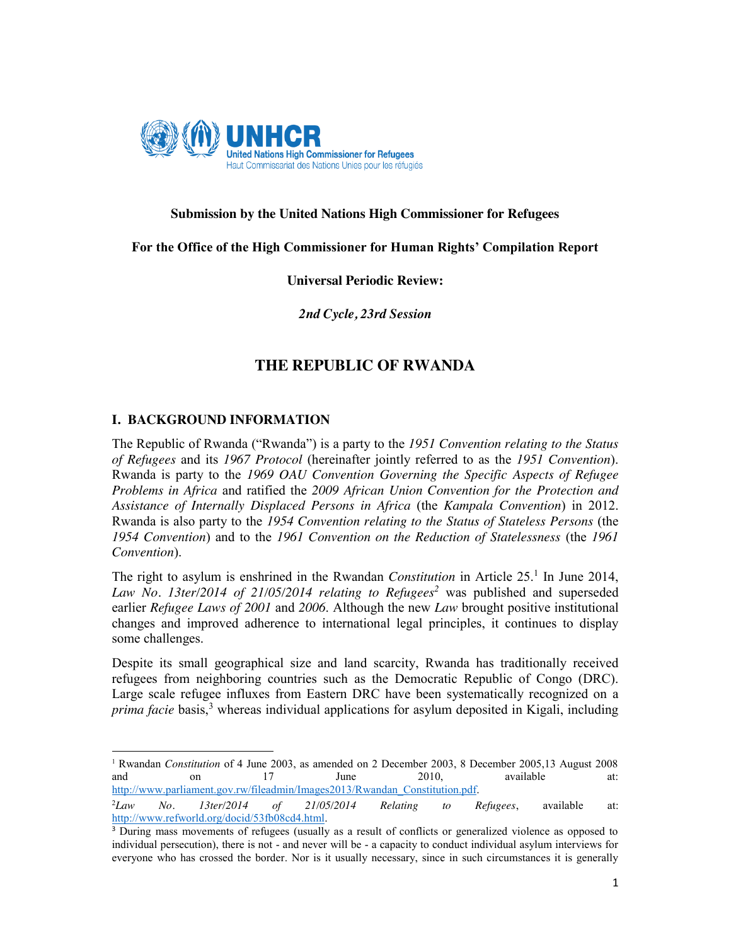

## **Submission by the United Nations High Commissioner for Refugees**

## **For the Office of the High Commissioner for Human Rights' Compilation Report**

#### **Universal Periodic Review:**

*2nd Cycle, 23rd Session*

# **THE REPUBLIC OF RWANDA**

# **I. BACKGROUND INFORMATION**

 $\overline{a}$ 

The Republic of Rwanda ("Rwanda") is a party to the *1951 Convention relating to the Status of Refugees* and its *1967 Protocol* (hereinafter jointly referred to as the *1951 Convention*). Rwanda is party to the *1969 OAU Convention Governing the Specific Aspects of Refugee Problems in Africa* and ratified the *2009 African Union Convention for the Protection and Assistance of Internally Displaced Persons in Africa* (the *Kampala Convention*) in 2012. Rwanda is also party to the *1954 Convention relating to the Status of Stateless Persons* (the *1954 Convention*) and to the *1961 Convention on the Reduction of Statelessness* (the *1961 Convention*).

The right to asylum is enshrined in the Rwandan *Constitution* in Article 25. <sup>1</sup> In June 2014, *Law No. 13ter/2014 of 21/05/2014 relating to Refugees<sup>2</sup>* was published and superseded earlier *Refugee Laws of 2001* and *2006*. Although the new *Law* brought positive institutional changes and improved adherence to international legal principles, it continues to display some challenges.

Despite its small geographical size and land scarcity, Rwanda has traditionally received refugees from neighboring countries such as the Democratic Republic of Congo (DRC). Large scale refugee influxes from Eastern DRC have been systematically recognized on a *prima facie* basis,<sup>3</sup> whereas individual applications for asylum deposited in Kigali, including

<sup>1</sup> Rwandan *Constitution* of 4 June 2003, as amended on 2 December 2003, 8 December 2005,13 August 2008 and on 17 June 2010, available at: http://www.parliament.gov.rw/fileadmin/Images2013/Rwandan\_Constitution.pdf.

 $^{2}Law$ *Law No. 13ter/2014 of 21/05/2014 Relating to Refugees*, available at: http://www.refworld.org/docid/53fb08cd4.html.

<sup>&</sup>lt;sup>3</sup> During mass movements of refugees (usually as a result of conflicts or generalized violence as opposed to individual persecution), there is not - and never will be - a capacity to conduct individual asylum interviews for everyone who has crossed the border. Nor is it usually necessary, since in such circumstances it is generally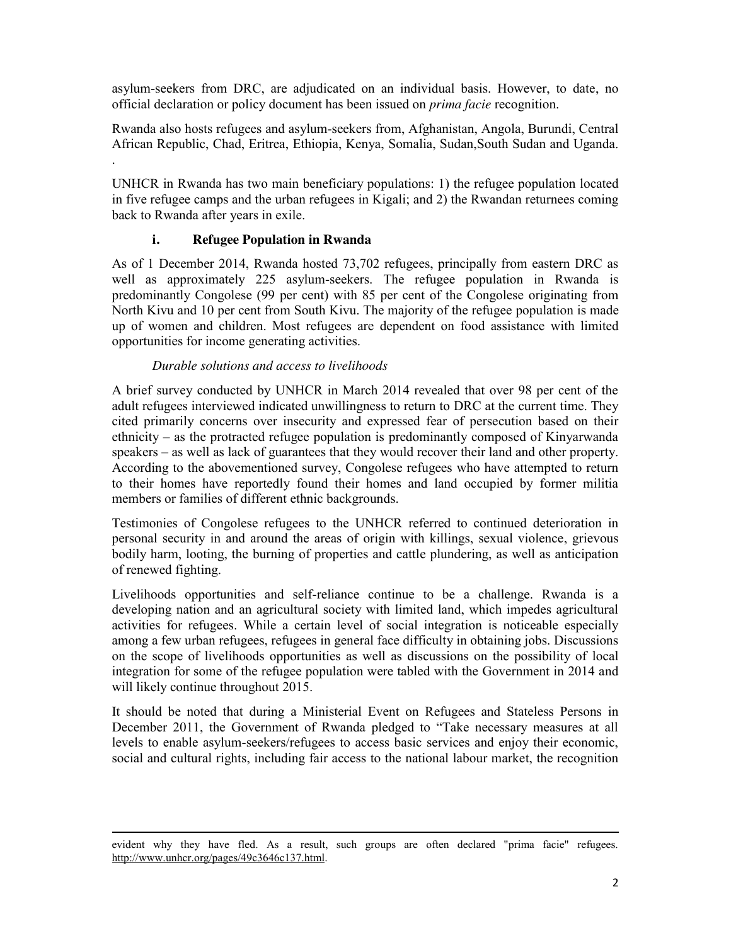asylum-seekers from DRC, are adjudicated on an individual basis. However, to date, no official declaration or policy document has been issued on *prima facie* recognition.

Rwanda also hosts refugees and asylum-seekers from, Afghanistan, Angola, Burundi, Central African Republic, Chad, Eritrea, Ethiopia, Kenya, Somalia, Sudan,South Sudan and Uganda. .

UNHCR in Rwanda has two main beneficiary populations: 1) the refugee population located in five refugee camps and the urban refugees in Kigali; and 2) the Rwandan returnees coming back to Rwanda after years in exile.

# **i. Refugee Population in Rwanda**

As of 1 December 2014, Rwanda hosted 73,702 refugees, principally from eastern DRC as well as approximately 225 asylum-seekers. The refugee population in Rwanda is predominantly Congolese (99 per cent) with 85 per cent of the Congolese originating from North Kivu and 10 per cent from South Kivu. The majority of the refugee population is made up of women and children. Most refugees are dependent on food assistance with limited opportunities for income generating activities.

#### *Durable solutions and access to livelihoods*

A brief survey conducted by UNHCR in March 2014 revealed that over 98 per cent of the adult refugees interviewed indicated unwillingness to return to DRC at the current time. They cited primarily concerns over insecurity and expressed fear of persecution based on their ethnicity – as the protracted refugee population is predominantly composed of Kinyarwanda speakers – as well as lack of guarantees that they would recover their land and other property. According to the abovementioned survey, Congolese refugees who have attempted to return to their homes have reportedly found their homes and land occupied by former militia members or families of different ethnic backgrounds.

Testimonies of Congolese refugees to the UNHCR referred to continued deterioration in personal security in and around the areas of origin with killings, sexual violence, grievous bodily harm, looting, the burning of properties and cattle plundering, as well as anticipation of renewed fighting.

Livelihoods opportunities and self-reliance continue to be a challenge. Rwanda is a developing nation and an agricultural society with limited land, which impedes agricultural activities for refugees. While a certain level of social integration is noticeable especially among a few urban refugees, refugees in general face difficulty in obtaining jobs. Discussions on the scope of livelihoods opportunities as well as discussions on the possibility of local integration for some of the refugee population were tabled with the Government in 2014 and will likely continue throughout 2015.

It should be noted that during a Ministerial Event on Refugees and Stateless Persons in December 2011, the Government of Rwanda pledged to "Take necessary measures at all levels to enable asylum-seekers/refugees to access basic services and enjoy their economic, social and cultural rights, including fair access to the national labour market, the recognition

 $\overline{a}$ evident why they have fled. As a result, such groups are often declared "prima facie" refugees. http://www.unhcr.org/pages/49c3646c137.html.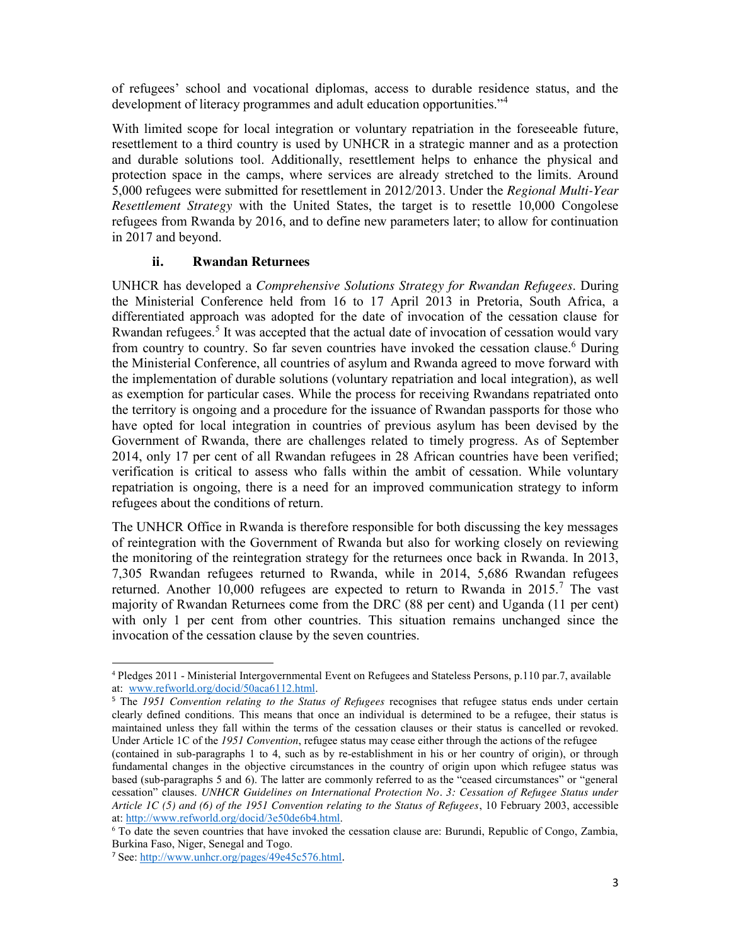of refugees' school and vocational diplomas, access to durable residence status, and the development of literacy programmes and adult education opportunities."<sup>4</sup>

With limited scope for local integration or voluntary repatriation in the foreseeable future, resettlement to a third country is used by UNHCR in a strategic manner and as a protection and durable solutions tool. Additionally, resettlement helps to enhance the physical and protection space in the camps, where services are already stretched to the limits. Around 5,000 refugees were submitted for resettlement in 2012/2013. Under the *Regional Multi-Year Resettlement Strategy* with the United States, the target is to resettle 10,000 Congolese refugees from Rwanda by 2016, and to define new parameters later; to allow for continuation in 2017 and beyond.

## **ii. Rwandan Returnees**

UNHCR has developed a *Comprehensive Solutions Strategy for Rwandan Refugees*. During the Ministerial Conference held from 16 to 17 April 2013 in Pretoria, South Africa, a differentiated approach was adopted for the date of invocation of the cessation clause for Rwandan refugees.<sup>5</sup> It was accepted that the actual date of invocation of cessation would vary from country to country. So far seven countries have invoked the cessation clause.<sup>6</sup> During the Ministerial Conference, all countries of asylum and Rwanda agreed to move forward with the implementation of durable solutions (voluntary repatriation and local integration), as well as exemption for particular cases. While the process for receiving Rwandans repatriated onto the territory is ongoing and a procedure for the issuance of Rwandan passports for those who have opted for local integration in countries of previous asylum has been devised by the Government of Rwanda, there are challenges related to timely progress. As of September 2014, only 17 per cent of all Rwandan refugees in 28 African countries have been verified; verification is critical to assess who falls within the ambit of cessation. While voluntary repatriation is ongoing, there is a need for an improved communication strategy to inform refugees about the conditions of return.

The UNHCR Office in Rwanda is therefore responsible for both discussing the key messages of reintegration with the Government of Rwanda but also for working closely on reviewing the monitoring of the reintegration strategy for the returnees once back in Rwanda. In 2013, 7,305 Rwandan refugees returned to Rwanda, while in 2014, 5,686 Rwandan refugees returned. Another 10,000 refugees are expected to return to Rwanda in 2015.<sup>7</sup> The vast majority of Rwandan Returnees come from the DRC (88 per cent) and Uganda (11 per cent) with only 1 per cent from other countries. This situation remains unchanged since the invocation of the cessation clause by the seven countries.

l

<sup>4</sup> Pledges 2011 - Ministerial Intergovernmental Event on Refugees and Stateless Persons, p.110 par.7, available at: www.refworld.org/docid/50aca6112.html.

<sup>&</sup>lt;sup>5</sup> The *1951 Convention relating to the Status of Refugees* recognises that refugee status ends under certain clearly defined conditions. This means that once an individual is determined to be a refugee, their status is maintained unless they fall within the terms of the cessation clauses or their status is cancelled or revoked. Under Article 1C of the *1951 Convention*, refugee status may cease either through the actions of the refugee

<sup>(</sup>contained in sub-paragraphs 1 to 4, such as by re-establishment in his or her country of origin), or through fundamental changes in the objective circumstances in the country of origin upon which refugee status was based (sub-paragraphs 5 and 6). The latter are commonly referred to as the "ceased circumstances" or "general cessation" clauses. *UNHCR Guidelines on International Protection No. 3: Cessation of Refugee Status under Article 1C (5) and (6) of the 1951 Convention relating to the Status of Refugees*, 10 February 2003, accessible at: http://www.refworld.org/docid/3e50de6b4.html.

<sup>6</sup> To date the seven countries that have invoked the cessation clause are: Burundi, Republic of Congo, Zambia, Burkina Faso, Niger, Senegal and Togo.

<sup>7</sup> See: http://www.unhcr.org/pages/49e45c576.html.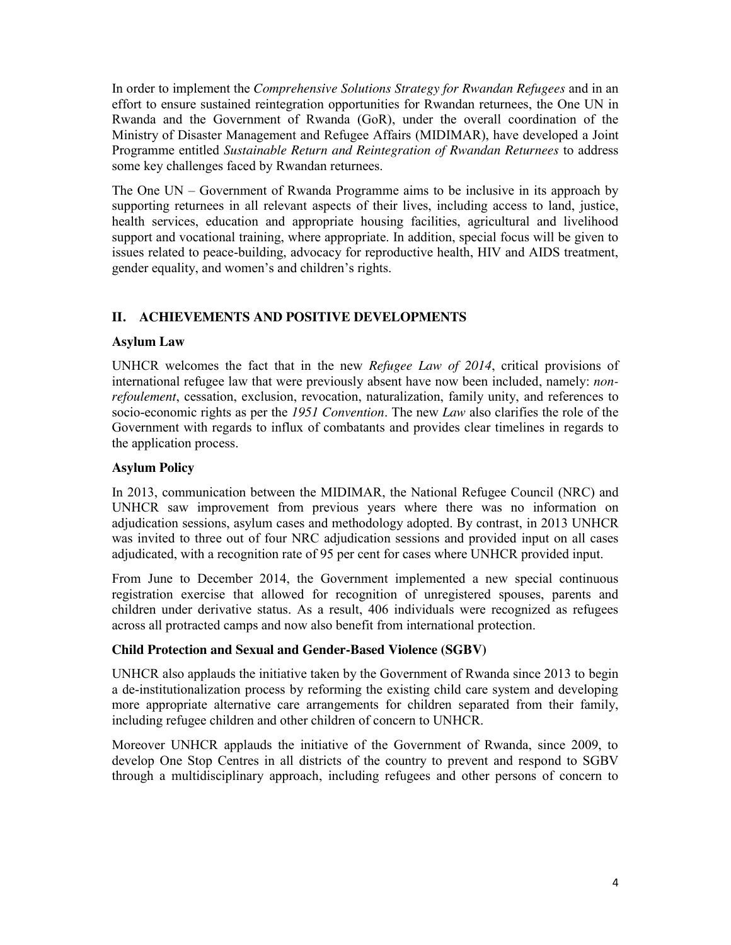In order to implement the *Comprehensive Solutions Strategy for Rwandan Refugees* and in an effort to ensure sustained reintegration opportunities for Rwandan returnees, the One UN in Rwanda and the Government of Rwanda (GoR), under the overall coordination of the Ministry of Disaster Management and Refugee Affairs (MIDIMAR), have developed a Joint Programme entitled *Sustainable Return and Reintegration of Rwandan Returnees* to address some key challenges faced by Rwandan returnees.

The One UN – Government of Rwanda Programme aims to be inclusive in its approach by supporting returnees in all relevant aspects of their lives, including access to land, justice, health services, education and appropriate housing facilities, agricultural and livelihood support and vocational training, where appropriate. In addition, special focus will be given to issues related to peace-building, advocacy for reproductive health, HIV and AIDS treatment, gender equality, and women's and children's rights.

# **II. ACHIEVEMENTS AND POSITIVE DEVELOPMENTS**

## **Asylum Law**

UNHCR welcomes the fact that in the new *Refugee Law of 2014*, critical provisions of international refugee law that were previously absent have now been included, namely: *nonrefoulement*, cessation, exclusion, revocation, naturalization, family unity, and references to socio-economic rights as per the *1951 Convention*. The new *Law* also clarifies the role of the Government with regards to influx of combatants and provides clear timelines in regards to the application process.

## **Asylum Policy**

In 2013, communication between the MIDIMAR, the National Refugee Council (NRC) and UNHCR saw improvement from previous years where there was no information on adjudication sessions, asylum cases and methodology adopted. By contrast, in 2013 UNHCR was invited to three out of four NRC adjudication sessions and provided input on all cases adjudicated, with a recognition rate of 95 per cent for cases where UNHCR provided input.

From June to December 2014, the Government implemented a new special continuous registration exercise that allowed for recognition of unregistered spouses, parents and children under derivative status. As a result, 406 individuals were recognized as refugees across all protracted camps and now also benefit from international protection.

#### **Child Protection and Sexual and Gender-Based Violence (SGBV)**

UNHCR also applauds the initiative taken by the Government of Rwanda since 2013 to begin a de-institutionalization process by reforming the existing child care system and developing more appropriate alternative care arrangements for children separated from their family, including refugee children and other children of concern to UNHCR.

Moreover UNHCR applauds the initiative of the Government of Rwanda, since 2009, to develop One Stop Centres in all districts of the country to prevent and respond to SGBV through a multidisciplinary approach, including refugees and other persons of concern to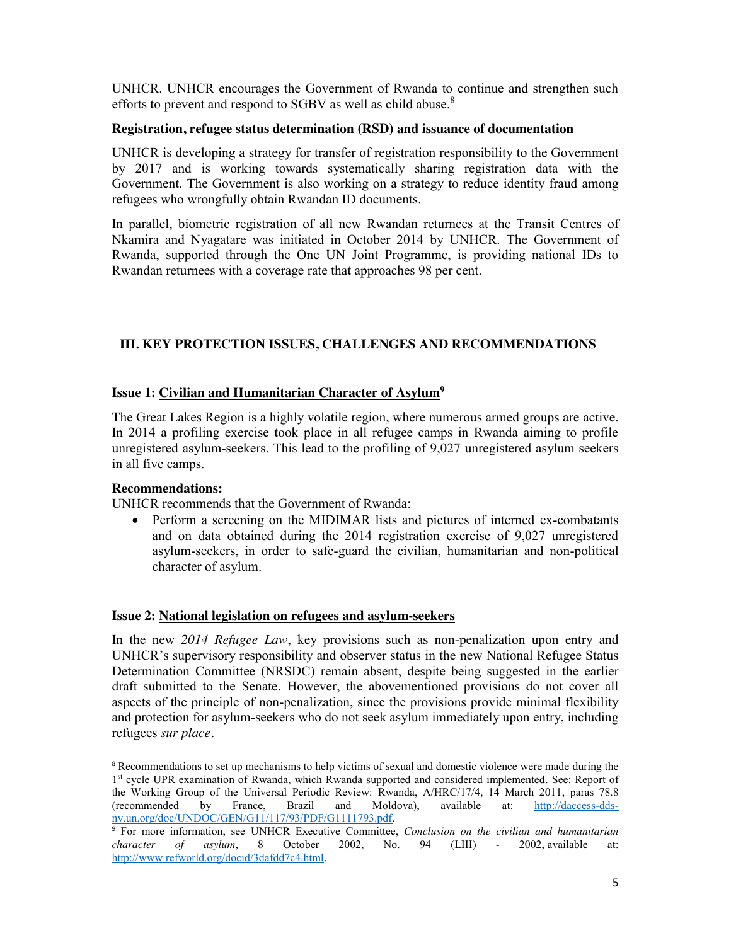UNHCR. UNHCR encourages the Government of Rwanda to continue and strengthen such efforts to prevent and respond to SGBV as well as child abuse.<sup>8</sup>

### **Registration, refugee status determination (RSD) and issuance of documentation**

UNHCR is developing a strategy for transfer of registration responsibility to the Government by 2017 and is working towards systematically sharing registration data with the Government. The Government is also working on a strategy to reduce identity fraud among refugees who wrongfully obtain Rwandan ID documents.

In parallel, biometric registration of all new Rwandan returnees at the Transit Centres of Nkamira and Nyagatare was initiated in October 2014 by UNHCR. The Government of Rwanda, supported through the One UN Joint Programme, is providing national IDs to Rwandan returnees with a coverage rate that approaches 98 per cent.

# **III. KEY PROTECTION ISSUES, CHALLENGES AND RECOMMENDATIONS**

## **Issue 1: Civilian and Humanitarian Character of Asylum9**

The Great Lakes Region is a highly volatile region, where numerous armed groups are active. In 2014 a profiling exercise took place in all refugee camps in Rwanda aiming to profile unregistered asylum-seekers. This lead to the profiling of 9,027 unregistered asylum seekers in all five camps.

#### **Recommendations:**

UNHCR recommends that the Government of Rwanda:

x Perform a screening on the MIDIMAR lists and pictures of interned ex-combatants and on data obtained during the 2014 registration exercise of 9,027 unregistered asylum-seekers, in order to safe-guard the civilian, humanitarian and non-political character of asylum.

#### **Issue 2: National legislation on refugees and asylum-seekers**

In the new *2014 Refugee Law*, key provisions such as non-penalization upon entry and UNHCR's supervisory responsibility and observer status in the new National Refugee Status Determination Committee (NRSDC) remain absent, despite being suggested in the earlier draft submitted to the Senate. However, the abovementioned provisions do not cover all aspects of the principle of non-penalization, since the provisions provide minimal flexibility and protection for asylum-seekers who do not seek asylum immediately upon entry, including refugees *sur place.* 

<sup>&</sup>lt;sup>8</sup> Recommendations to set up mechanisms to help victims of sexual and domestic violence were made during the 1st cycle UPR examination of Rwanda, which Rwanda supported and considered implemented. See: Report of the Working Group of the Universal Periodic Review: Rwanda, A/HRC/17/4, 14 March 2011, paras 78.8 (recommended by France, Brazil and Moldova), available at: http://daccess-ddsny.un.org/doc/UNDOC/GEN/G11/117/93/PDF/G1111793.pdf.

<sup>9</sup> For more information, see UNHCR Executive Committee, *Conclusion on the civilian and humanitarian character of asylum*, 8 October 2002, No. 94 (LIII) - 2002, available at: http://www.refworld.org/docid/3dafdd7c4.html.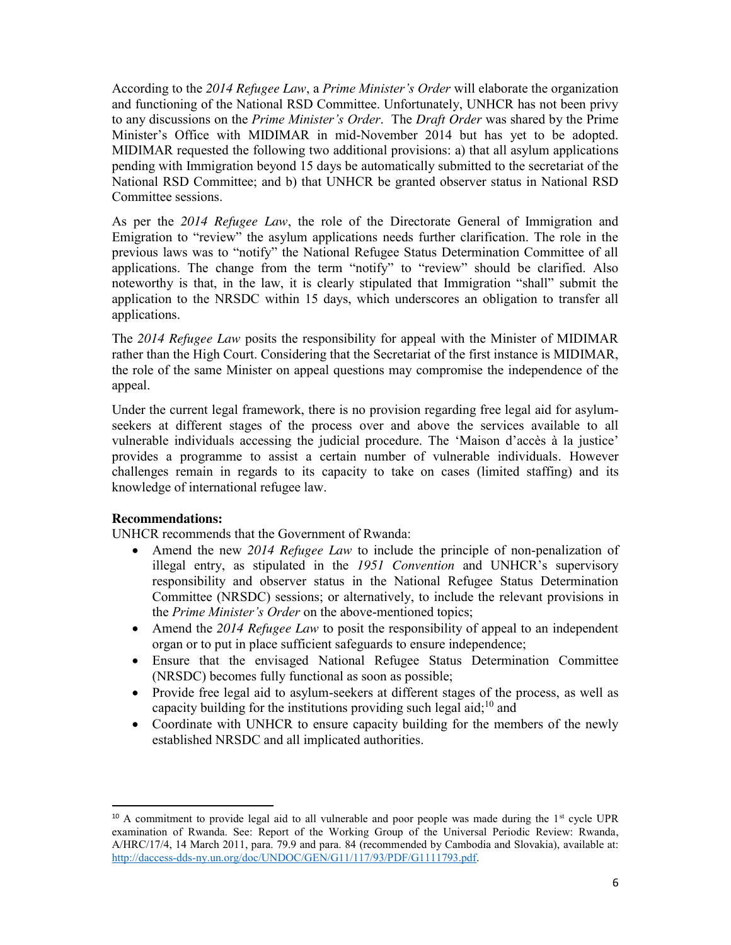According to the *2014 Refugee Law*, a *Prime Minister's Order* will elaborate the organization and functioning of the National RSD Committee. Unfortunately, UNHCR has not been privy to any discussions on the *Prime Minister's Order*. The *Draft Order* was shared by the Prime Minister's Office with MIDIMAR in mid-November 2014 but has yet to be adopted. MIDIMAR requested the following two additional provisions: a) that all asylum applications pending with Immigration beyond 15 days be automatically submitted to the secretariat of the National RSD Committee; and b) that UNHCR be granted observer status in National RSD Committee sessions.

As per the *2014 Refugee Law*, the role of the Directorate General of Immigration and Emigration to "review" the asylum applications needs further clarification. The role in the previous laws was to "notify" the National Refugee Status Determination Committee of all applications. The change from the term "notify" to "review" should be clarified. Also noteworthy is that, in the law, it is clearly stipulated that Immigration "shall" submit the application to the NRSDC within 15 days, which underscores an obligation to transfer all applications.

The *2014 Refugee Law* posits the responsibility for appeal with the Minister of MIDIMAR rather than the High Court. Considering that the Secretariat of the first instance is MIDIMAR, the role of the same Minister on appeal questions may compromise the independence of the appeal.

Under the current legal framework, there is no provision regarding free legal aid for asylumseekers at different stages of the process over and above the services available to all vulnerable individuals accessing the judicial procedure. The 'Maison d'accès à la justice' provides a programme to assist a certain number of vulnerable individuals. However challenges remain in regards to its capacity to take on cases (limited staffing) and its knowledge of international refugee law.

#### **Recommendations:**

UNHCR recommends that the Government of Rwanda:

- x Amend the new *2014 Refugee Law* to include the principle of non-penalization of illegal entry, as stipulated in the *1951 Convention* and UNHCR's supervisory responsibility and observer status in the National Refugee Status Determination Committee (NRSDC) sessions; or alternatively, to include the relevant provisions in the *Prime Minister's Order* on the above-mentioned topics;
- Amend the 2014 Refugee Law to posit the responsibility of appeal to an independent organ or to put in place sufficient safeguards to ensure independence;
- Ensure that the envisaged National Refugee Status Determination Committee (NRSDC) becomes fully functional as soon as possible;
- Provide free legal aid to asylum-seekers at different stages of the process, as well as capacity building for the institutions providing such legal aid; $^{10}$  and
- Coordinate with UNHCR to ensure capacity building for the members of the newly established NRSDC and all implicated authorities.

 $10$  A commitment to provide legal aid to all vulnerable and poor people was made during the  $1<sup>st</sup>$  cycle UPR examination of Rwanda. See: Report of the Working Group of the Universal Periodic Review: Rwanda, A/HRC/17/4, 14 March 2011, para. 79.9 and para. 84 (recommended by Cambodia and Slovakia), available at: http://daccess-dds-ny.un.org/doc/UNDOC/GEN/G11/117/93/PDF/G1111793.pdf.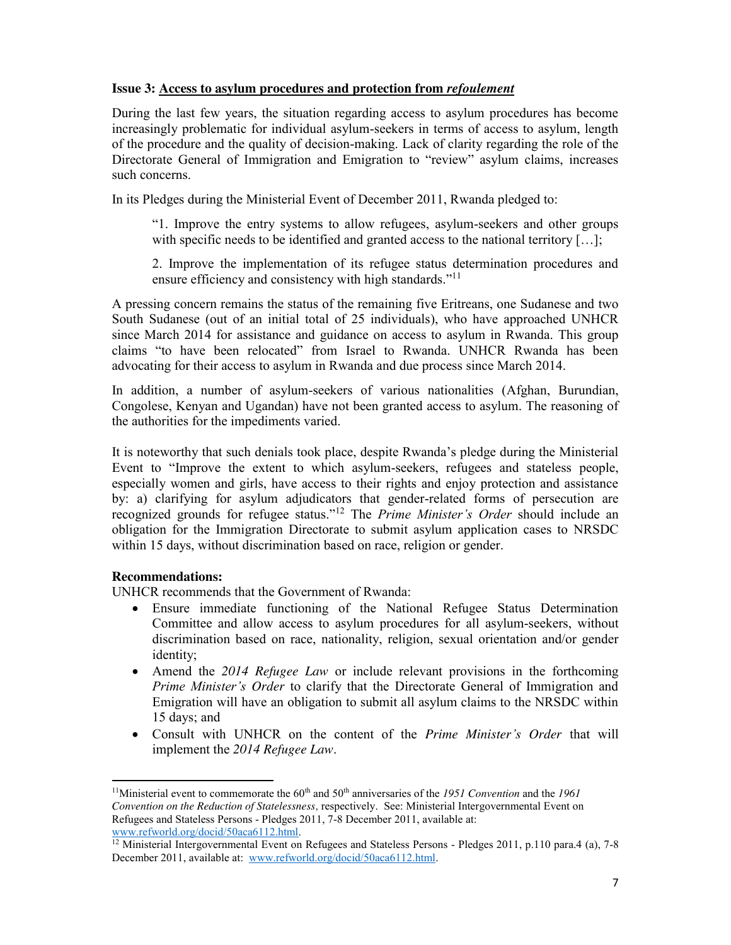## **Issue 3: Access to asylum procedures and protection from** *refoulement*

During the last few years, the situation regarding access to asylum procedures has become increasingly problematic for individual asylum-seekers in terms of access to asylum, length of the procedure and the quality of decision-making. Lack of clarity regarding the role of the Directorate General of Immigration and Emigration to "review" asylum claims, increases such concerns.

In its Pledges during the Ministerial Event of December 2011, Rwanda pledged to:

"1. Improve the entry systems to allow refugees, asylum-seekers and other groups with specific needs to be identified and granted access to the national territory [...];

2. Improve the implementation of its refugee status determination procedures and ensure efficiency and consistency with high standards."<sup>11</sup>

A pressing concern remains the status of the remaining five Eritreans, one Sudanese and two South Sudanese (out of an initial total of 25 individuals), who have approached UNHCR since March 2014 for assistance and guidance on access to asylum in Rwanda. This group claims "to have been relocated" from Israel to Rwanda. UNHCR Rwanda has been advocating for their access to asylum in Rwanda and due process since March 2014.

In addition, a number of asylum-seekers of various nationalities (Afghan, Burundian, Congolese, Kenyan and Ugandan) have not been granted access to asylum. The reasoning of the authorities for the impediments varied.

It is noteworthy that such denials took place, despite Rwanda's pledge during the Ministerial Event to "Improve the extent to which asylum-seekers, refugees and stateless people, especially women and girls, have access to their rights and enjoy protection and assistance by: a) clarifying for asylum adjudicators that gender-related forms of persecution are recognized grounds for refugee status."<sup>12</sup> The *Prime Minister's Order* should include an obligation for the Immigration Directorate to submit asylum application cases to NRSDC within 15 days, without discrimination based on race, religion or gender.

#### **Recommendations:**

UNHCR recommends that the Government of Rwanda:

- Ensure immediate functioning of the National Refugee Status Determination Committee and allow access to asylum procedures for all asylum-seekers, without discrimination based on race, nationality, religion, sexual orientation and/or gender identity;
- x Amend the *2014 Refugee Law* or include relevant provisions in the forthcoming *Prime Minister's Order* to clarify that the Directorate General of Immigration and Emigration will have an obligation to submit all asylum claims to the NRSDC within 15 days; and
- x Consult with UNHCR on the content of the *Prime Minister's Order* that will implement the *2014 Refugee Law*.

l <sup>11</sup>Ministerial event to commemorate the 60<sup>th</sup> and 50<sup>th</sup> anniversaries of the *1951 Convention* and the *1961 Convention on the Reduction of Statelessness,* respectively. See: Ministerial Intergovernmental Event on Refugees and Stateless Persons - Pledges 2011, 7-8 December 2011, available at: www.refworld.org/docid/50aca6112.html.

<sup>&</sup>lt;sup>12</sup> Ministerial Intergovernmental Event on Refugees and Stateless Persons - Pledges 2011, p.110 para.4 (a), 7-8 December 2011, available at: www.refworld.org/docid/50aca6112.html.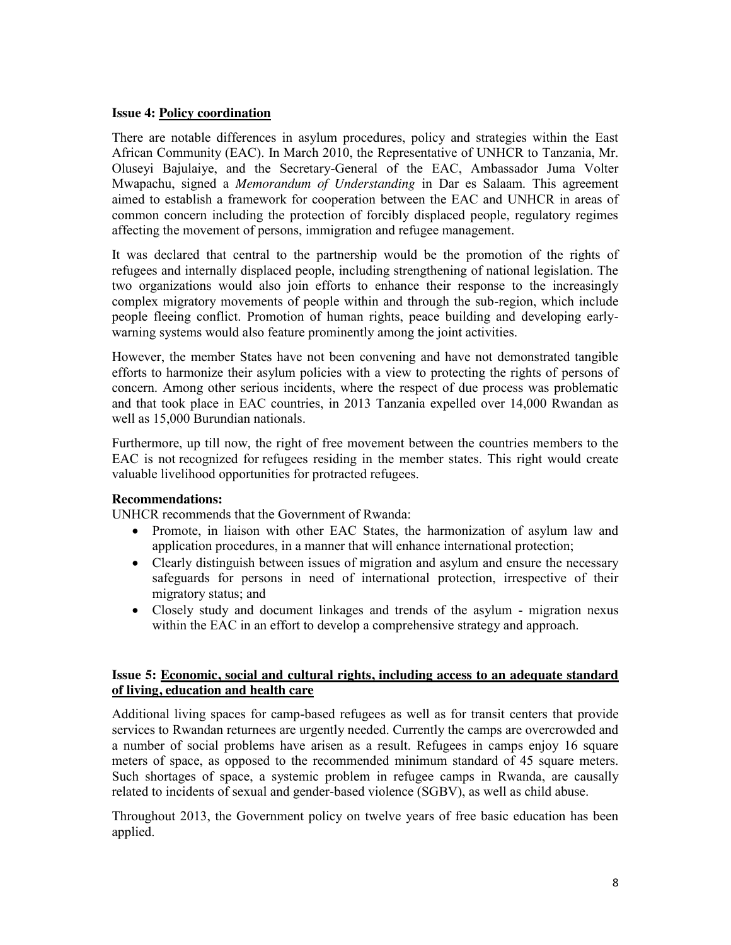#### **Issue 4: Policy coordination**

There are notable differences in asylum procedures, policy and strategies within the East African Community (EAC). In March 2010, the Representative of UNHCR to Tanzania, Mr. Oluseyi Bajulaiye, and the Secretary-General of the EAC, Ambassador Juma Volter Mwapachu, signed a *Memorandum of Understanding* in Dar es Salaam. This agreement aimed to establish a framework for cooperation between the EAC and UNHCR in areas of common concern including the protection of forcibly displaced people, regulatory regimes affecting the movement of persons, immigration and refugee management.

It was declared that central to the partnership would be the promotion of the rights of refugees and internally displaced people, including strengthening of national legislation. The two organizations would also join efforts to enhance their response to the increasingly complex migratory movements of people within and through the sub-region, which include people fleeing conflict. Promotion of human rights, peace building and developing earlywarning systems would also feature prominently among the joint activities.

However, the member States have not been convening and have not demonstrated tangible efforts to harmonize their asylum policies with a view to protecting the rights of persons of concern. Among other serious incidents, where the respect of due process was problematic and that took place in EAC countries, in 2013 Tanzania expelled over 14,000 Rwandan as well as 15,000 Burundian nationals.

Furthermore, up till now, the right of free movement between the countries members to the EAC is not recognized for refugees residing in the member states. This right would create valuable livelihood opportunities for protracted refugees.

#### **Recommendations:**

UNHCR recommends that the Government of Rwanda:

- Promote, in liaison with other EAC States, the harmonization of asylum law and application procedures, in a manner that will enhance international protection;
- Clearly distinguish between issues of migration and asylum and ensure the necessary safeguards for persons in need of international protection, irrespective of their migratory status; and
- Closely study and document linkages and trends of the asylum migration nexus within the EAC in an effort to develop a comprehensive strategy and approach.

#### **Issue 5: Economic, social and cultural rights, including access to an adequate standard of living, education and health care**

Additional living spaces for camp-based refugees as well as for transit centers that provide services to Rwandan returnees are urgently needed. Currently the camps are overcrowded and a number of social problems have arisen as a result. Refugees in camps enjoy 16 square meters of space, as opposed to the recommended minimum standard of 45 square meters. Such shortages of space, a systemic problem in refugee camps in Rwanda, are causally related to incidents of sexual and gender-based violence (SGBV), as well as child abuse.

Throughout 2013, the Government policy on twelve years of free basic education has been applied.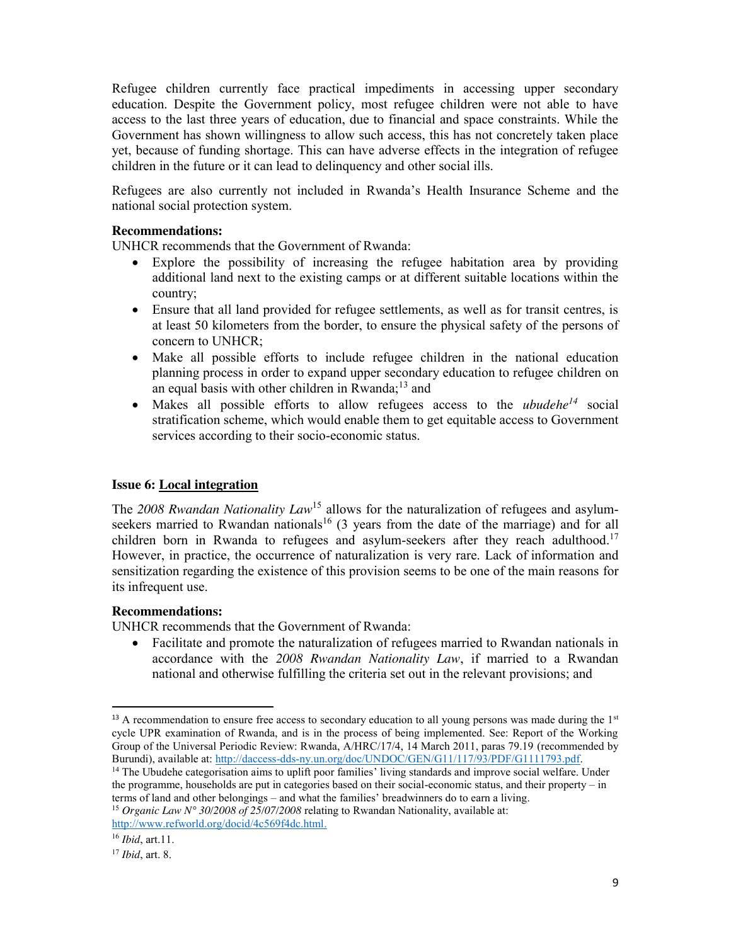Refugee children currently face practical impediments in accessing upper secondary education. Despite the Government policy, most refugee children were not able to have access to the last three years of education, due to financial and space constraints. While the Government has shown willingness to allow such access, this has not concretely taken place yet, because of funding shortage. This can have adverse effects in the integration of refugee children in the future or it can lead to delinquency and other social ills.

Refugees are also currently not included in Rwanda's Health Insurance Scheme and the national social protection system.

#### **Recommendations:**

UNHCR recommends that the Government of Rwanda:

- Explore the possibility of increasing the refugee habitation area by providing additional land next to the existing camps or at different suitable locations within the country;
- Ensure that all land provided for refugee settlements, as well as for transit centres, is at least 50 kilometers from the border, to ensure the physical safety of the persons of concern to UNHCR;
- Make all possible efforts to include refugee children in the national education planning process in order to expand upper secondary education to refugee children on an equal basis with other children in  $Rwanda;^{13}$  and
- Makes all possible efforts to allow refugees access to the *ubudehe*<sup> $14$ </sup> social stratification scheme, which would enable them to get equitable access to Government services according to their socio-economic status.

#### **Issue 6: Local integration**

The 2008 Rwandan Nationality Law<sup>15</sup> allows for the naturalization of refugees and asylumseekers married to Rwandan nationals<sup>16</sup> (3 years from the date of the marriage) and for all children born in Rwanda to refugees and asylum-seekers after they reach adulthood.<sup>17</sup> However, in practice, the occurrence of naturalization is very rare. Lack of information and sensitization regarding the existence of this provision seems to be one of the main reasons for its infrequent use.

#### **Recommendations:**

UNHCR recommends that the Government of Rwanda:

Facilitate and promote the naturalization of refugees married to Rwandan nationals in accordance with the *2008 Rwandan Nationality Law*, if married to a Rwandan national and otherwise fulfilling the criteria set out in the relevant provisions; and

<sup>14</sup> The Ubudehe categorisation aims to uplift poor families' living standards and improve social welfare. Under the programme, households are put in categories based on their social-economic status, and their property – in terms of land and other belongings – and what the families' breadwinners do to earn a living. <sup>15</sup> *Organic Law N° 30/2008 of 25/07/2008* relating to Rwandan Nationality, available at:

http://www.refworld.org/docid/4c569f4dc.html.

<sup>&</sup>lt;sup>13</sup> A recommendation to ensure free access to secondary education to all young persons was made during the 1<sup>st</sup> cycle UPR examination of Rwanda, and is in the process of being implemented. See: Report of the Working Group of the Universal Periodic Review: Rwanda, A/HRC/17/4, 14 March 2011, paras 79.19 (recommended by Burundi), available at: http://daccess-dds-ny.un.org/doc/UNDOC/GEN/G11/117/93/PDF/G1111793.pdf.

<sup>16</sup> *Ibid*, art.11.

<sup>17</sup> *Ibid*, art. 8.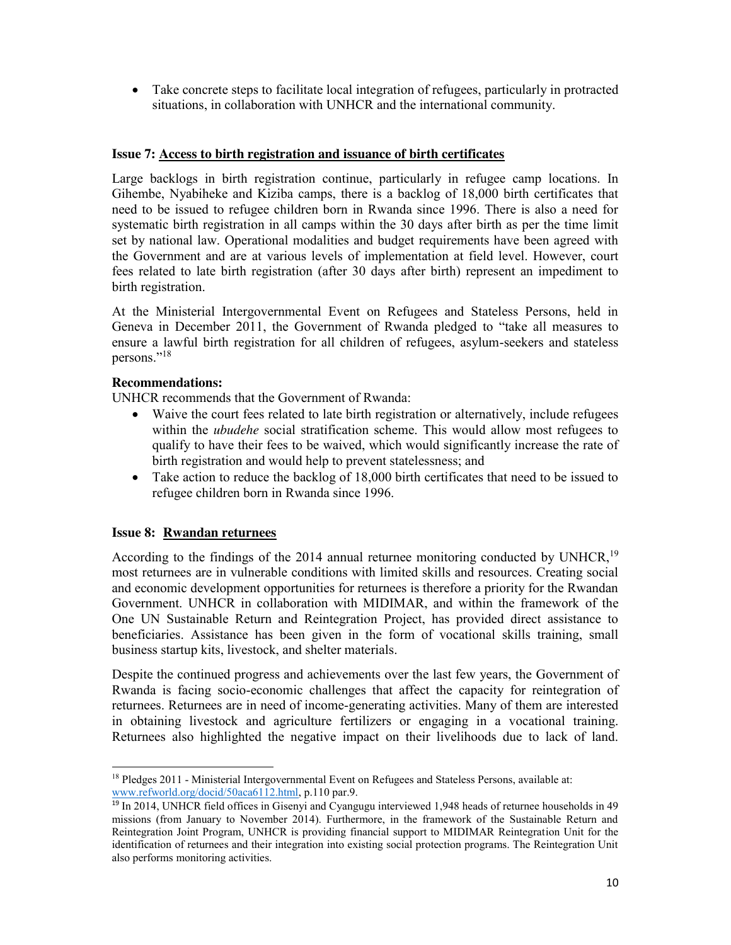• Take concrete steps to facilitate local integration of refugees, particularly in protracted situations, in collaboration with UNHCR and the international community.

# **Issue 7: Access to birth registration and issuance of birth certificates**

Large backlogs in birth registration continue, particularly in refugee camp locations. In Gihembe, Nyabiheke and Kiziba camps, there is a backlog of 18,000 birth certificates that need to be issued to refugee children born in Rwanda since 1996. There is also a need for systematic birth registration in all camps within the 30 days after birth as per the time limit set by national law. Operational modalities and budget requirements have been agreed with the Government and are at various levels of implementation at field level. However, court fees related to late birth registration (after 30 days after birth) represent an impediment to birth registration.

At the Ministerial Intergovernmental Event on Refugees and Stateless Persons, held in Geneva in December 2011, the Government of Rwanda pledged to "take all measures to ensure a lawful birth registration for all children of refugees, asylum-seekers and stateless persons."<sup>18</sup>

# **Recommendations:**

UNHCR recommends that the Government of Rwanda:

- Waive the court fees related to late birth registration or alternatively, include refugees within the *ubudehe* social stratification scheme. This would allow most refugees to qualify to have their fees to be waived, which would significantly increase the rate of birth registration and would help to prevent statelessness; and
- $\bullet$  Take action to reduce the backlog of 18,000 birth certificates that need to be issued to refugee children born in Rwanda since 1996.

# **Issue 8: Rwandan returnees**

According to the findings of the 2014 annual returnee monitoring conducted by UNHCR,  $^{19}$ most returnees are in vulnerable conditions with limited skills and resources. Creating social and economic development opportunities for returnees is therefore a priority for the Rwandan Government. UNHCR in collaboration with MIDIMAR, and within the framework of the One UN Sustainable Return and Reintegration Project, has provided direct assistance to beneficiaries. Assistance has been given in the form of vocational skills training, small business startup kits, livestock, and shelter materials.

Despite the continued progress and achievements over the last few years, the Government of Rwanda is facing socio-economic challenges that affect the capacity for reintegration of returnees. Returnees are in need of income-generating activities. Many of them are interested in obtaining livestock and agriculture fertilizers or engaging in a vocational training. Returnees also highlighted the negative impact on their livelihoods due to lack of land.

 $\overline{a}$ <sup>18</sup> Pledges 2011 - Ministerial Intergovernmental Event on Refugees and Stateless Persons, available at: www.refworld.org/docid/50aca6112.html, p.110 par.9.

<sup>19</sup> In 2014, UNHCR field offices in Gisenyi and Cyangugu interviewed 1,948 heads of returnee households in 49 missions (from January to November 2014). Furthermore, in the framework of the Sustainable Return and Reintegration Joint Program, UNHCR is providing financial support to MIDIMAR Reintegration Unit for the identification of returnees and their integration into existing social protection programs. The Reintegration Unit also performs monitoring activities.